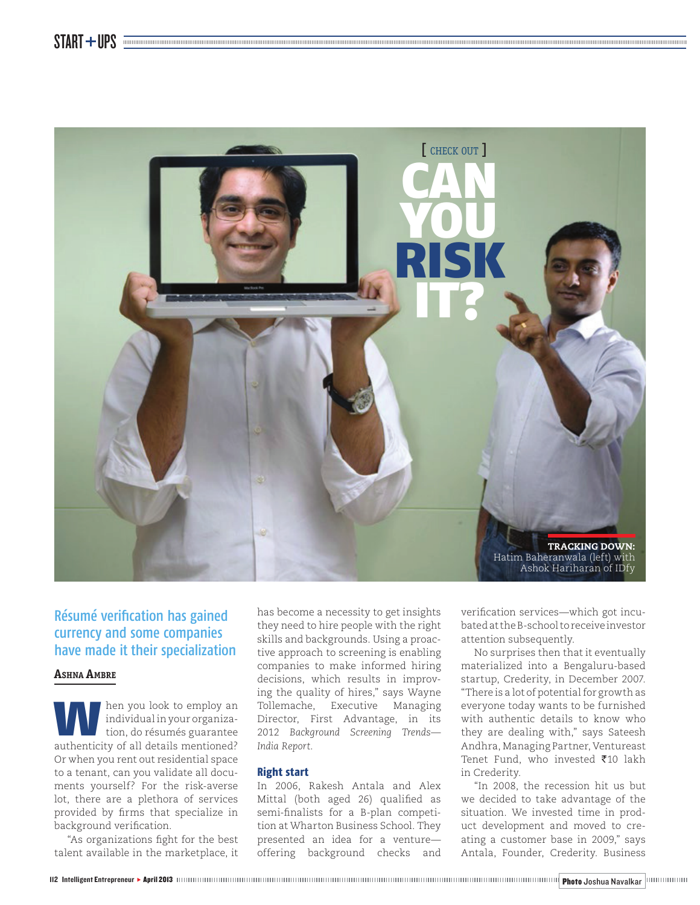

# Résumé verification has gained currency and some companies have made it their specialization

### **ASHNA AMBRE**

W hen you look to employ an individual in your organization, do résumés guarantee authenticity of all details mentioned? Or when you rent out residential space to a tenant, can you validate all documents yourself? For the risk-averse lot, there are a plethora of services provided by firms that specialize in background verification.

"As organizations fight for the best talent available in the marketplace, it

has become a necessity to get insights they need to hire people with the right skills and backgrounds. Using a proactive approach to screening is enabling companies to make informed hiring decisions, which results in improving the quality of hires," says Wayne Tollemache, Executive Managing Director, First Advantage, in its 2012 *Background Screening Trends— India Report.*

#### **Right start**

In 2006, Rakesh Antala and Alex Mittal (both aged 26) qualified as semi-finalists for a B-plan competition at Wharton Business School. They presented an idea for a venture offering background checks and verification services—which got incubated at the B-school to receive investor attention subsequently.

No surprises then that it eventually materialized into a Bengaluru-based startup, Crederity, in December 2007. "There is a lot of potential for growth as everyone today wants to be furnished with authentic details to know who they are dealing with," says Sateesh Andhra, Managing Partner, Ventureast Tenet Fund, who invested  $\bar{z}$ 10 lakh in Crederity.

"In 2008, the recession hit us but we decided to take advantage of the situation. We invested time in product development and moved to creating a customer base in 2009," says Antala, Founder, Crederity. Business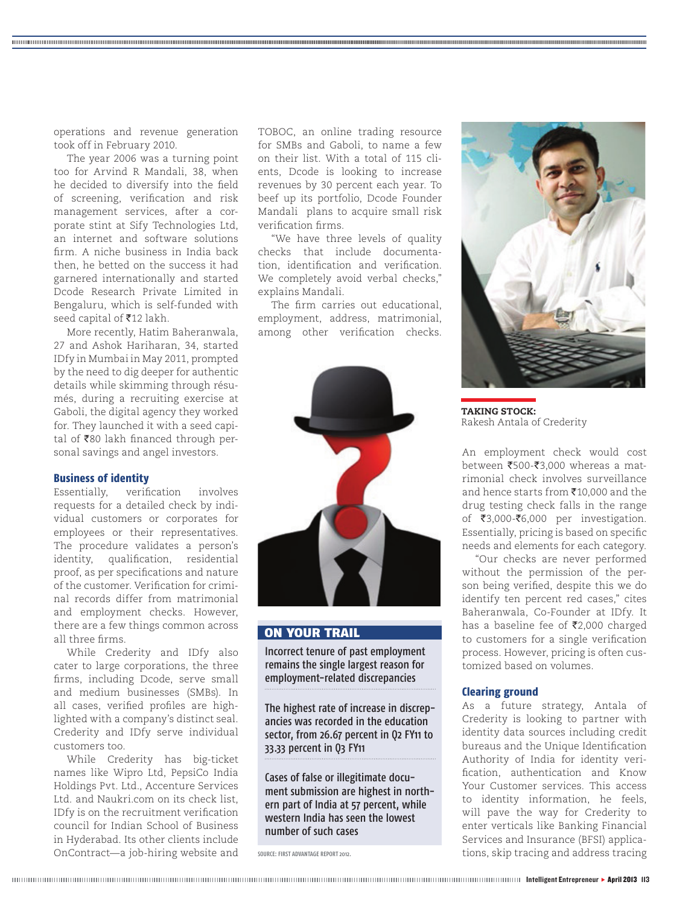operations and revenue generation took off in February 2010.

The year 2006 was a turning point too for Arvind R Mandali, 38, when he decided to diversify into the field of screening, verification and risk management services, after a corporate stint at Sify Technologies Ltd, an internet and software solutions firm. A niche business in India back then, he betted on the success it had garnered internationally and started Dcode Research Private Limited in Bengaluru, which is self-funded with seed capital of  $\overline{\text{5}}12$  lakh.

More recently, Hatim Baheranwala, 27 and Ashok Hariharan, 34, started IDfy in Mumbai in May 2011, prompted by the need to dig deeper for authentic details while skimming through résumés, during a recruiting exercise at Gaboli, the digital agency they worked for. They launched it with a seed capital of  $\bar{z}$ 80 lakh financed through personal savings and angel investors.

#### **Business of identity**

Essentially, verification involves requests for a detailed check by individual customers or corporates for employees or their representatives. The procedure validates a person's identity, qualification, residential proof, as per specifications and nature of the customer. Verification for criminal records differ from matrimonial and employment checks. However, there are a few things common across all three firms.

While Crederity and IDfy also cater to large corporations, the three firms, including Dcode, serve small and medium businesses (SMBs). In all cases, verified profiles are highlighted with a company's distinct seal. Crederity and IDfy serve individual customers too.

While Crederity has big-ticket names like Wipro Ltd, PepsiCo India Holdings Pvt. Ltd., Accenture Services Ltd. and Naukri.com on its check list, IDfy is on the recruitment verification council for Indian School of Business in Hyderabad. Its other clients include OnContract—a job-hiring website and TOBOC, an online trading resource for SMBs and Gaboli, to name a few on their list. With a total of 115 clients, Dcode is looking to increase revenues by 30 percent each year. To beef up its portfolio, Dcode Founder Mandali plans to acquire small risk verification firms.

"We have three levels of quality checks that include documentation, identification and verification. We completely avoid verbal checks," explains Mandali.

The firm carries out educational, employment, address, matrimonial, among other verification checks.



# ON YOUR TRAIL

Incorrect tenure of past employment remains the single largest reason for employment-related discrepancies

The highest rate of increase in discrepancies was recorded in the education sector, from 26.67 percent in Q2 FY11 to 33.33 percent in Q3 FY11

Cases of false or illegitimate document submission are highest in northern part of India at 57 percent, while western India has seen the lowest number of such cases

SOURCE: FIRST ADVANTAGE REPORT 2012.



TAKING STOCK: Rakesh Antala of Crederity

An employment check would cost between  $\text{\texttt{\$500-\$3,000}}$  whereas a matrimonial check involves surveillance and hence starts from  $\bar{x}$ 10,000 and the drug testing check falls in the range of  $\overline{\xi}3,000-\overline{\xi}6,000$  per investigation. Essentially, pricing is based on specific needs and elements for each category.

"Our checks are never performed without the permission of the person being verified, despite this we do identify ten percent red cases," cites Baheranwala, Co-Founder at IDfy. It has a baseline fee of  $\overline{\mathfrak{Z}}2,000$  charged to customers for a single verification process. However, pricing is often customized based on volumes.

## **Clearing ground**

As a future strategy, Antala of Crederity is looking to partner with identity data sources including credit bureaus and the Unique Identification Authority of India for identity veri fication, authentication and Know Your Customer services. This access to identity information, he feels, will pave the way for Crederity to enter verticals like Banking Financial Services and Insurance (BFSI) applications, skip tracing and address tracing